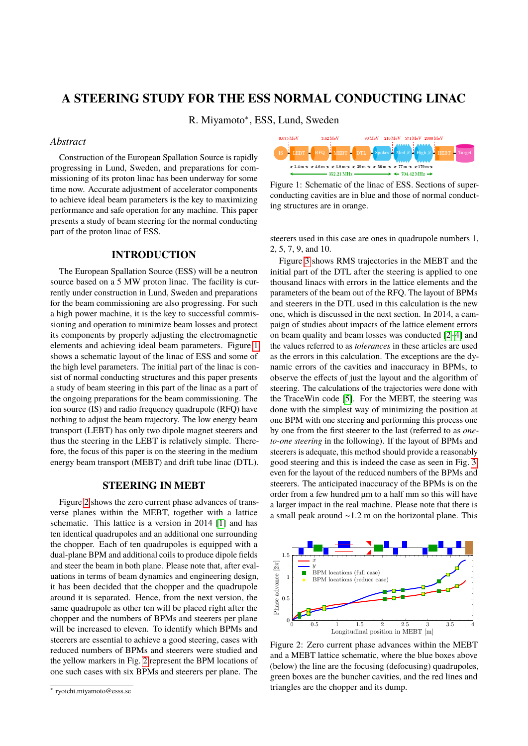# **A STEERING STUDY FOR THE ESS NORMAL CONDUCTING LINAC**

R. Miyamoto<sup>∗</sup> , ESS, Lund, Sweden

### *Abstract*

Construction of the European Spallation Source is rapidly progressing in Lund, Sweden, and preparations for commissioning of its proton linac has been underway for some time now. Accurate adjustment of accelerator components to achieve ideal beam parameters is the key to maximizing performance and safe operation for any machine. This paper presents a study of beam steering for the normal conducting part of the proton linac of ESS.

#### **INTRODUCTION**

The European Spallation Source (ESS) will be a neutron source based on a 5 MW proton linac. The facility is currently under construction in Lund, Sweden and preparations for the beam commissioning are also progressing. For such a high power machine, it is the key to successful commissioning and operation to minimize beam losses and protect its components by properly adjusting the electromagnetic elements and achieving ideal beam parameters. Figure [1](#page-0-0) shows a schematic layout of the linac of ESS and some of the high level parameters. The initial part of the linac is consist of normal conducting structures and this paper presents a study of beam steering in this part of the linac as a part of the ongoing preparations for the beam commissioning. The ion source (IS) and radio frequency quadrupole (RFQ) have nothing to adjust the beam trajectory. The low energy beam transport (LEBT) has only two dipole magnet steerers and thus the steering in the LEBT is relatively simple. Therefore, the focus of this paper is on the steering in the medium energy beam transport (MEBT) and drift tube linac (DTL).

## **STEERING IN MEBT**

Figure [2](#page-0-1) shows the zero current phase advances of transverse planes within the MEBT, together with a lattice schematic. This lattice is a version in 2014 [\[1\]](#page-2-0) and has ten identical quadrupoles and an additional one surrounding the chopper. Each of ten quadrupoles is equipped with a dual-plane BPM and additional coils to produce dipole fields and steer the beam in both plane. Please note that, after evaluations in terms of beam dynamics and engineering design, it has been decided that the chopper and the quadrupole around it is separated. Hence, from the next version, the same quadrupole as other ten will be placed right after the chopper and the numbers of BPMs and steerers per plane will be increased to eleven. To identify which BPMs and steerers are essential to achieve a good steering, cases with reduced numbers of BPMs and steerers were studied and the yellow markers in Fig. [2](#page-0-1) represent the BPM locations of one such cases with six BPMs and steerers per plane. The

<span id="page-0-0"></span>

Figure 1: Schematic of the linac of ESS. Sections of superconducting cavities are in blue and those of normal conducting structures are in orange.

steerers used in this case are ones in quadrupole numbers 1, 2, 5, 7, 9, and 10.

Figure [3](#page-1-0) shows RMS trajectories in the MEBT and the initial part of the DTL after the steering is applied to one thousand linacs with errors in the lattice elements and the parameters of the beam out of the RFQ. The layout of BPMs and steerers in the DTL used in this calculation is the new one, which is discussed in the next section. In 2014, a campaign of studies about impacts of the lattice element errors on beam quality and beam losses was conducted [\[2](#page-2-1)[–4\]](#page-2-2) and the values referred to as *tolerances* in these articles are used as the errors in this calculation. The exceptions are the dynamic errors of the cavities and inaccuracy in BPMs, to observe the effects of just the layout and the algorithm of steering. The calculations of the trajectories were done with the TraceWin code [\[5\]](#page-2-3). For the MEBT, the steering was done with the simplest way of minimizing the position at one BPM with one steering and performing this process one by one from the first steerer to the last (referred to as *oneto-one steering* in the following). If the layout of BPMs and steerers is adequate, this method should provide a reasonably good steering and this is indeed the case as seen in Fig. [3,](#page-1-0) even for the layout of the reduced numbers of the BPMs and steerers. The anticipated inaccuracy of the BPMs is on the order from a few hundred µm to a half mm so this will have a larger impact in the real machine. Please note that there is a small peak around ∼1.2 m on the horizontal plane. This

<span id="page-0-1"></span>

Figure 2: Zero current phase advances within the MEBT and a MEBT lattice schematic, where the blue boxes above (below) the line are the focusing (defocusing) quadrupoles, green boxes are the buncher cavities, and the red lines and triangles are the chopper and its dump.

<sup>∗</sup> ryoichi.miyamoto@esss.se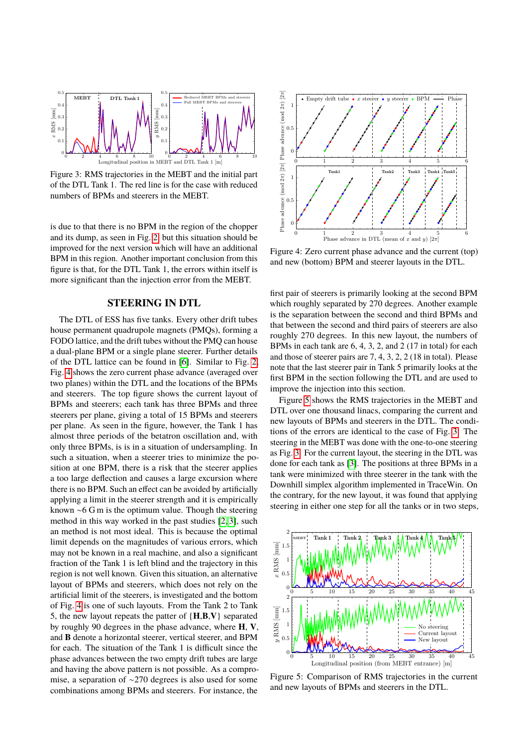<span id="page-1-0"></span>

Figure 3: RMS trajectories in the MEBT and the initial part of the DTL Tank 1. The red line is for the case with reduced numbers of BPMs and steerers in the MEBT.

is due to that there is no BPM in the region of the chopper and its dump, as seen in Fig. [2,](#page-0-1) but this situation should be improved for the next version which will have an additional BPM in this region. Another important conclusion from this figure is that, for the DTL Tank 1, the errors within itself is more significant than the injection error from the MEBT.

#### **STEERING IN DTL**

The DTL of ESS has five tanks. Every other drift tubes house permanent quadrupole magnets (PMQs), forming a FODO lattice, and the drift tubes without the PMQ can house a dual-plane BPM or a single plane steerer. Further details of the DTL lattice can be found in [\[6\]](#page-2-4). Similar to Fig. [2,](#page-0-1) Fig. [4](#page-1-1) shows the zero current phase advance (averaged over two planes) within the DTL and the locations of the BPMs and steerers. The top figure shows the current layout of BPMs and steerers; each tank has three BPMs and three steerers per plane, giving a total of 15 BPMs and steerers per plane. As seen in the figure, however, the Tank 1 has almost three periods of the betatron oscillation and, with only three BPMs, is is in a situation of undersampling. In such a situation, when a steerer tries to minimize the position at one BPM, there is a risk that the steerer applies a too large deflection and causes a large excursion where there is no BPM. Such an effect can be avoided by artificially applying a limit in the steerer strength and it is empirically known ∼6 G m is the optimum value. Though the steering method in this way worked in the past studies [\[2,](#page-2-1) [3\]](#page-2-5), such an method is not most ideal. This is because the optimal limit depends on the magnitudes of various errors, which may not be known in a real machine, and also a significant fraction of the Tank 1 is left blind and the trajectory in this region is not well known. Given this situation, an alternative layout of BPMs and steerers, which does not rely on the artificial limit of the steerers, is investigated and the bottom of Fig. [4](#page-1-1) is one of such layouts. From the Tank 2 to Tank 5, the new layout repeats the patter of {**H**,**B**,**V**} separated by roughly 90 degrees in the phase advance, where **H**, **V**, and **B** denote a horizontal steerer, vertical steerer, and BPM for each. The situation of the Tank 1 is difficult since the phase advances between the two empty drift tubes are large and having the above pattern is not possible. As a compromise, a separation of ∼270 degrees is also used for some combinations among BPMs and steerers. For instance, the

<span id="page-1-1"></span>

Figure 4: Zero current phase advance and the current (top) and new (bottom) BPM and steerer layouts in the DTL.

first pair of steerers is primarily looking at the second BPM which roughly separated by 270 degrees. Another example is the separation between the second and third BPMs and that between the second and third pairs of steerers are also roughly 270 degrees. In this new layout, the numbers of BPMs in each tank are 6, 4, 3, 2, and 2 (17 in total) for each and those of steerer pairs are 7, 4, 3, 2, 2 (18 in total). Please note that the last steerer pair in Tank 5 primarily looks at the first BPM in the section following the DTL and are used to improve the injection into this section.

Figure [5](#page-1-2) shows the RMS trajectories in the MEBT and DTL over one thousand linacs, comparing the current and new layouts of BPMs and steerers in the DTL. The conditions of the errors are identical to the case of Fig. [3.](#page-1-0) The steering in the MEBT was done with the one-to-one steering as Fig. [3.](#page-1-0) For the current layout, the steering in the DTL was done for each tank as [\[3\]](#page-2-5). The positions at three BPMs in a tank were minimized with three steerer in the tank with the Downhill simplex algorithm implemented in TraceWin. On the contrary, for the new layout, it was found that applying steering in either one step for all the tanks or in two steps,

<span id="page-1-2"></span>

Figure 5: Comparison of RMS trajectories in the current and new layouts of BPMs and steerers in the DTL.